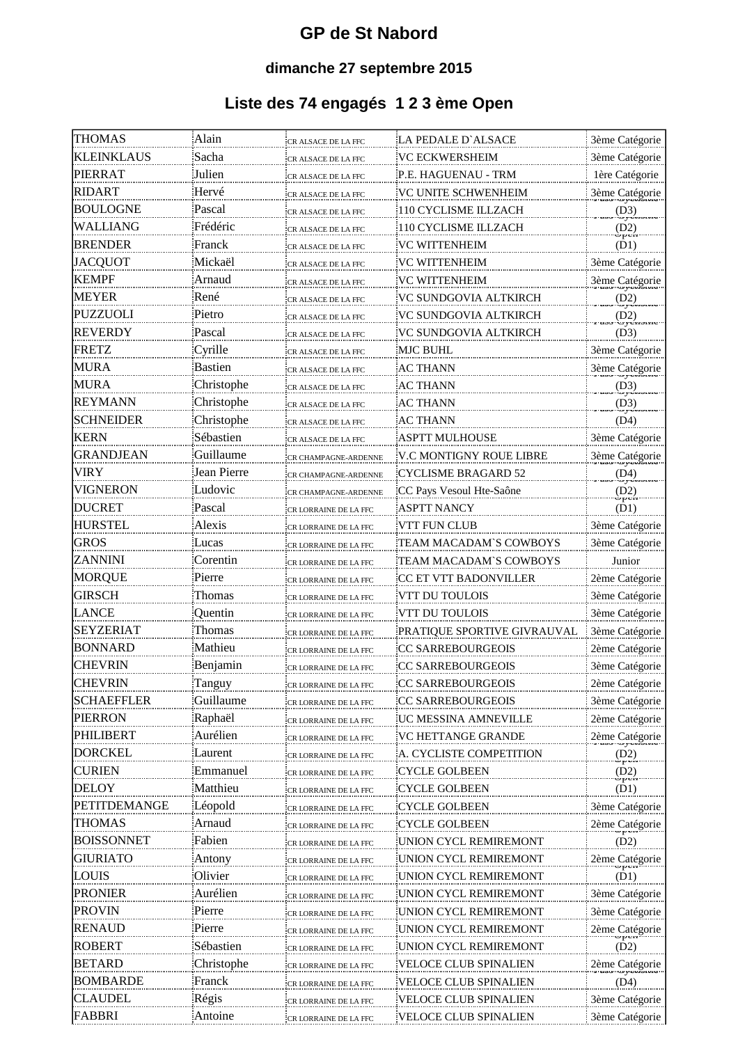#### **GP de St Nabord**

#### **dimanche 27 septembre 2015**

### **Liste des 74 engagés 1 2 3 ème Open**

| THOMAS            | Alain                      | CR ALSACE DE LA FFC   | LA PEDALE D`ALSACE           | 3ème Catégorie                  |
|-------------------|----------------------------|-----------------------|------------------------------|---------------------------------|
| KLEINKLAUS        | Sacha                      | CR ALSACE DE LA FFC   | VC ECKWERSHEIM               | <b>3ème Catégorie</b>           |
| PIERRAT           | Julien                     | CR ALSACE DE LA FFC   | P.E. HAGUENAU - TRM          | 1ère Catégorie                  |
| RIDART            | Hervé                      | CR ALSACE DE LA FFC   | VC UNITE SCHWENHEIM          | 3ème Catégorie<br>Traso Cycrome |
| BOULOGNE          | Pascal                     | CR ALSACE DE LA FFC   | 110 CYCLISME ILLZACH         | (D <sub>7</sub> )               |
| WALLIANG          | Frédéric                   | CR ALSACE DE LA FFC   | 110 CYCLISME ILLZACH         | (D2)                            |
| BRENDER           | Franck                     | CR ALSACE DE LA FFC   | VC WITTENHEIM                | (D1)                            |
| JACQUOT           | Mickaël                    | CR ALSACE DE LA FFC   | <b>VC WITTENHEIM</b>         | 3ème Catégorie                  |
| KEMPF             | Arnaud                     | CR ALSACE DE LA FFC   | <b>VC WITTENHEIM</b>         | 3ème Catégorie                  |
| MEYER             | René                       | CR ALSACE DE LA FFC   | VC SUNDGOVIA ALTKIRCH        | (D2)                            |
| PUZZUOLI          | Pietro                     | CR ALSACE DE LA FFC   | VC SUNDGOVIA ALTKIRCH        | (D2)                            |
| REVERDY           | Pascal                     | CR ALSACE DE LA FFC   | <u>VC SUNDGOVIA ALTKIRCH</u> | (D3)                            |
| FRETZ             | Cyrille                    | CR ALSACE DE LA FFC   | MJC BUHL                     | 3ème Catégorie                  |
| MURA              | Bastien                    | CR ALSACE DE LA FFC   | AC THANN                     |                                 |
| MURA              | Christophe                 | CR ALSACE DE LA FFC   | AC THANN                     | 3ème Catégorie<br>(D3)          |
| <b>REYMANN</b>    |                            | CR ALSACE DE LA FFC   | AC THANN                     | دسک وی                          |
| <b>SCHNEIDER</b>  | Christophe                 | CR ALSACE DE LA FFC   | AC THANN                     | (D <sub>2</sub> )<br>(D4)       |
| KERN              | Sébastien                  | CR ALSACE DE LA FFC   | ASPTT MULHOUSE               | <b>3ème Catégorie</b>           |
| GRANDJEAN         | Guillaume                  | CR CHAMPAGNE-ARDENNE  | V.C MONTIGNY ROUE LIBRE      |                                 |
| VIRY              | Jean Pierre                |                       | <b>CYCLISME BRAGARD 52</b>   | 3ème Catégorie                  |
| VIGNERON          | Ludovic                    | CR CHAMPAGNE-ARDENNE  | CC Pays Vesoul Hte-Saône     | (D4)<br>(D2)                    |
| DUCRET            | Pascal                     | CR CHAMPAGNE-ARDENNE  |                              | ծթան                            |
| HURSTEL           | Alexis                     | CR LORRAINE DE LA FFC | ASPTT NANCY<br>VTT FUN CLUB  | (D1)                            |
|                   |                            | CR LORRAINE DE LA FFC |                              | 3ème Catégorie                  |
| GROS<br>ZANNINI   | Lucas                      | CR LORRAINE DE LA FFC | TEAM MACADAM`S COWBOYS       | 3ème Catégorie                  |
|                   | Corentin                   | CR LORRAINE DE LA FFC | TEAM MACADAM'S COWBOYS       | Junior                          |
| MORQUE<br>GIRSCH  | Pierre                     | CR LORRAINE DE LA FFC | CC ET VTT BADONVILLER        | 2ème Catégorie                  |
| LANCE             | Thomas                     | CR LORRAINE DE LA FFC | VTT DU TOULOIS               | 3ème Catégorie                  |
| SEYZERIAT         | Quentin                    | CR LORRAINE DE LA FFC | VTT DU TOULOIS               | 3ème Catégorie                  |
| BONNARD           | Thomas<br>Mathieu          | CR LORRAINE DE LA FFC | PRATIQUE SPORTIVE GIVRAUVAL  | 3ème Catégorie                  |
| CHEVRIN           |                            | CR LORRAINE DE LA FFC | CC SARREBOURGEOIS            | 2ème Catégorie                  |
| CHEVRIN           | <u>Benjamin</u>            | CR LORRAINE DE LA FFC | CC SARREBOURGEOIS            | 3ème Catégorie                  |
| <b>SCHAEFFLER</b> | <u>Tanguy</u><br>Guillaume | CR LORRAINE DE LA FFC | CC SARREBOURGEOIS            | 2ème Catégorie                  |
| <b>PIERRON</b>    |                            | CR LORRAINE DE LA FFC | CC SARREBOURGEOIS            | 3ème Catégorie                  |
|                   | Raphaël                    | CR LORRAINE DE LA FFC | UC MESSINA AMNEVILLE         | 2ème Catégorie                  |
| PHILIBERT         | Aurélien                   | CR LORRAINE DE LA FFC | VC HETTANGE GRANDE           | 2ème Catégorie                  |
| DORCKEL           | ∟aurent                    | CR LORRAINE DE LA FFC | A. CYCLISTE COMPETITION      | (D2)                            |
| CURIEN            | Emmanuel                   | CR LORRAINE DE LA FFC | CYCLE GOLBEEN                | (D2)<br>شحوذ                    |
| DELOY             | Matthieu                   | CR LORRAINE DE LA FFC | <b>CYCLE GOLBEEN</b>         | (D1)                            |
| PETITDEMANGE      | Léopold                    | CR LORRAINE DE LA FFC | <b>CYCLE GOLBEEN</b>         | 3ème Catégorie                  |
| <b>THOMAS</b>     | <u>Arnaud</u>              | CR LORRAINE DE LA FFC | <b>CYCLE GOLBEEN</b>         | 2ème Catégorie                  |
| BOISSONNET        | Fabien                     | CR LORRAINE DE LA FFC | UNION CYCL REMIREMONT        | (D2)                            |
| GIURIATO          | Antony                     | CR LORRAINE DE LA FFC | UNION CYCL REMIREMONT        | 2ème Catégorie<br>Pressorie     |
| LOUIS             | Olivier                    | CR LORRAINE DE LA FFC | UNION CYCL REMIREMONT        | (D1)                            |
| PRONIER           | Aurélien                   | CR LORRAINE DE LA FFC | UNION CYCL REMIREMONT        | 3ème Catégorie                  |
| PROVIN            | Pierre                     | CR LORRAINE DE LA FFC | UNION CYCL REMIREMONT        | 3ème Catégorie                  |
| RENAUD            | Pierre                     | CR LORRAINE DE LA FFC | UNION CYCL REMIREMONT        | 2ème Catégorie                  |
| ROBERT            | Sébastien                  | CR LORRAINE DE LA FFC | UNION CYCL REMIREMONT        | (D2)                            |
| BETARD            | Christophe                 | CR LORRAINE DE LA FFC | <b>VELOCE CLUB SPINALIEN</b> | 2ème Catégorie                  |
| BOMBARDE          | <u>Franck</u>              | CR LORRAINE DE LA FFC | VELOCE CLUB SPINALIEN        | (D4)                            |
| LLAUDEL           | Régis                      | CR LORRAINE DE LA FFC | VELOCE CLUB SPINALIEN        | 3ème Catégorie                  |
| FABBRI            | Antoine                    | CR LORRAINE DE LA FFC | VELOCE CLUB SPINALIEN        | 3ème Catégorie                  |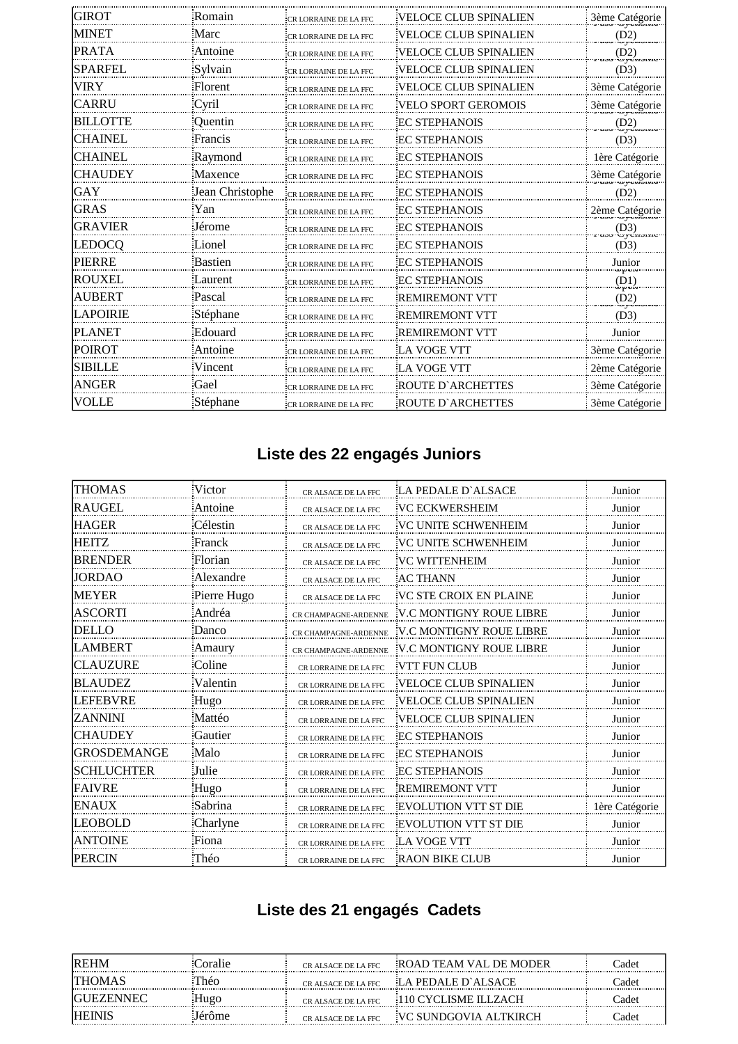| IGIROT          | Romain          | <b>CR LORRAINE DE LA FFC</b> | <b>VELOCE CLUB SPINALIEN</b> | 3ème Catégorie                     |
|-----------------|-----------------|------------------------------|------------------------------|------------------------------------|
| <b>MINET</b>    | Marc            | CR LORRAINE DE LA FFC        | <b>VELOCE CLUB SPINALIEN</b> | (D2)                               |
| <b>PRATA</b>    | Antoine         | CR LORRAINE DE LA FFC        | <b>VELOCE CLUB SPINALIEN</b> | (D2)<br>ت و مست                    |
| <b>SPARFEL</b>  | Sylvain         | CR LORRAINE DE LA FFC        | <b>VELOCE CLUB SPINALIEN</b> | (D3)                               |
| <b>VIRY</b>     | Florent         | CR LORRAINE DE LA FFC        | <b>VELOCE CLUB SPINALIEN</b> | 3ème Catégorie                     |
| CARRU           | Cyril           | CR LORRAINE DE LA FFC        | <b>VELO SPORT GEROMOIS</b>   | 3ème Catégorie                     |
| <b>BILLOTTE</b> | Quentin         | <b>CR LORRAINE DE LA FFC</b> | <b>EC STEPHANOIS</b>         | (D2)                               |
| <b>CHAINEL</b>  | Francis         | CR LORRAINE DE LA FFC        | <b>EC STEPHANOIS</b>         | (D3)                               |
| <b>CHAINEL</b>  | Raymond         | CR LORRAINE DE LA FFC        | <b>EC STEPHANOIS</b>         | 1ère Catégorie                     |
| <b>CHAUDEY</b>  | Maxence         | CR LORRAINE DE LA FFC        | <b>EC STEPHANOIS</b>         | 3ème Catégorie<br><b>UY CHUINE</b> |
| IGAY            | Jean Christophe | CR LORRAINE DE LA FFC        | <b>EC STEPHANOIS</b>         | (D2)                               |
| IGRAS           | Yan             | CR LORRAINE DE LA FFC        | <b>EC STEPHANOIS</b>         | 2ème Catégorie                     |
| <b>GRAVIER</b>  | Jérome          | CR LORRAINE DE LA FFC        | <b>EC STEPHANOIS</b>         | (D3)                               |
| LEDOCQ          | Lionel          | <b>CR LORRAINE DE LA FFC</b> | <b>EC STEPHANOIS</b>         | (D3)                               |
| <b>PIERRE</b>   | Bastien         | CR LORRAINE DE LA FFC        | <b>EC STEPHANOIS</b>         | Junior<br>بتاباذ                   |
| <b>ROUXEL</b>   | Laurent         | CR LORRAINE DE LA FFC        | <b>EC STEPHANOIS</b>         | (D1)<br>novi                       |
| <b>AUBERT</b>   | Pascal          | CR LORRAINE DE LA FFC        | <b>REMIREMONT VTT</b>        | (D2)<br>e rénome                   |
| <b>APOIRIE</b>  | Stéphane        | <b>CR LORRAINE DE LA FFC</b> | <b>REMIREMONT VTT</b>        | (D3)                               |
| <b>PLANET</b>   | Edouard         | CR LORRAINE DE LA FFC        | <b>REMIREMONT VTT</b>        | Junior                             |
| POIROT          | Antoine         | <b>CR LORRAINE DE LA FFC</b> | LA VOGE VTT                  | 3ème Catégorie                     |
| <b>SIBILLE</b>  | Vincent         | CR LORRAINE DE LA FFC        | LA VOGE VTT                  | 2ème Catégorie                     |
| <b>ANGER</b>    | Gael            | <b>CR LORRAINE DE LA FFC</b> | <b>ROUTE D'ARCHETTES</b>     | 3ème Catégorie                     |
| VOLLE           | Stéphane        | CR LORRAINE DE LA FFC        | ROUTE D'ARCHETTES            | 3ème Catégorie                     |

# **Liste des 22 engagés Juniors**

| <b>THOMAS</b>     | Victor      | CR ALSACE DE LA FFC   | LA PEDALE D'ALSACE           | Junior         |
|-------------------|-------------|-----------------------|------------------------------|----------------|
| <b>RAUGEL</b>     | Antoine     | CR ALSACE DE LA FFC   | VC ECKWERSHEIM               | Junior         |
| HAGER             | Célestin    | CR ALSACE DE LA FFC   | <b>VC UNITE SCHWENHEIM</b>   | Junior         |
| <b>HEITZ</b>      | Franck      | CR ALSACE DE LA FFC   | VC UNITE SCHWENHEIM          | Junior         |
| BRENDER           | Florian     | CR ALSACE DE LA FFC   | <b>VC WITTENHEIM</b>         | Junior         |
| JORDAO            | Alexandre   | CR ALSACE DE LA FFC   | <b>AC THANN</b>              | Junior         |
| IMEYER            | Pierre Hugo | CR ALSACE DE LA FFC   | VC STE CROIX EN PLAINE       | Junior         |
| <b>ASCORTI</b>    | Andréa      | CR CHAMPAGNE-ARDENNE  | V.C MONTIGNY ROUE LIBRE      | Junior         |
| DELLO             | Danco       | CR CHAMPAGNE-ARDENNE  | V.C MONTIGNY ROUE LIBRE      | Junior         |
| LAMBERT           | Amaury      | CR CHAMPAGNE-ARDENNE  | V.C MONTIGNY ROUE LIBRE      | Junior         |
| <b>CLAUZURE</b>   | Coline      | CR LORRAINE DE LA FFC | VTT FUN CLUB                 | Junior         |
| <b>BLAUDEZ</b>    | Valentin    | CR LORRAINE DE LA FFC | <b>VELOCE CLUB SPINALIEN</b> | Junior         |
| LEFEBVRE          | Hugo        | CR LORRAINE DE LA FFC | <b>VELOCE CLUB SPINALIEN</b> | Junior         |
| <b>ZANNINI</b>    | Mattéo      | CR LORRAINE DE LA FFC | <b>VELOCE CLUB SPINALIEN</b> | Junior         |
| ICHAUDEY          | Gautier     | CR LORRAINE DE LA FFC | <b>EC STEPHANOIS</b>         | Junior         |
| IGROSDEMANGE      | Malo        | CR LORRAINE DE LA FFC | <b>EC STEPHANOIS</b>         | Junior         |
| <b>SCHLUCHTER</b> | Julie       | CR LORRAINE DE LA FFC | <b>EC STEPHANOIS</b>         | Junior         |
| IFAIVRE           | Hugo        | CR LORRAINE DE LA FFC | <b>REMIREMONT VTT</b>        | Junior         |
| <b>ENAUX</b>      | Sabrina     | CR LORRAINE DE LA FFC | <b>EVOLUTION VTT ST DIE</b>  | 1ère Catégorie |
| LEOBOLD           | Charlyne    | CR LORRAINE DE LA FFC | <b>EVOLUTION VTT ST DIE</b>  | Junior         |
| <b>ANTOINE</b>    | Fiona       | CR LORRAINE DE LA FFC | <b>LA VOGE VTT</b>           | Junior         |
| <b>PERCIN</b>     | Théo        | CR LORRAINE DE LA FFC | <b>RAON BIKE CLUB</b>        | Junior         |

# **Liste des 21 engagés Cadets**

| <b>IREHM</b>      | Coralie | CR ALSACE DE LA FFC | ROAD TEAM VAL DE MODER                                                                                                                              | Cadet |
|-------------------|---------|---------------------|-----------------------------------------------------------------------------------------------------------------------------------------------------|-------|
| <b>ITHOMAS</b>    | Théo    | CR ALSACE DE LA FFC | LA PEDALE D'ALSACE                                                                                                                                  | Cadet |
| <b>IGUEZENNEC</b> | Hugo    | CR ALSACE DE LA FFC | 110 CYCLISME ILLZACH                                                                                                                                | Cadet |
| <b>IHEINIS</b>    | Jérôme  | CR ALSACE DE LA FEC | VC SUNDGOVIA ALTKIRCH<br><u>huunnummuunnummuunnummuuhuunnummuunnummuunnummuunnummuunnummuunnummuunnummuunnummuunnummuunnummuunnummuunnummuunnum</u> | Cadet |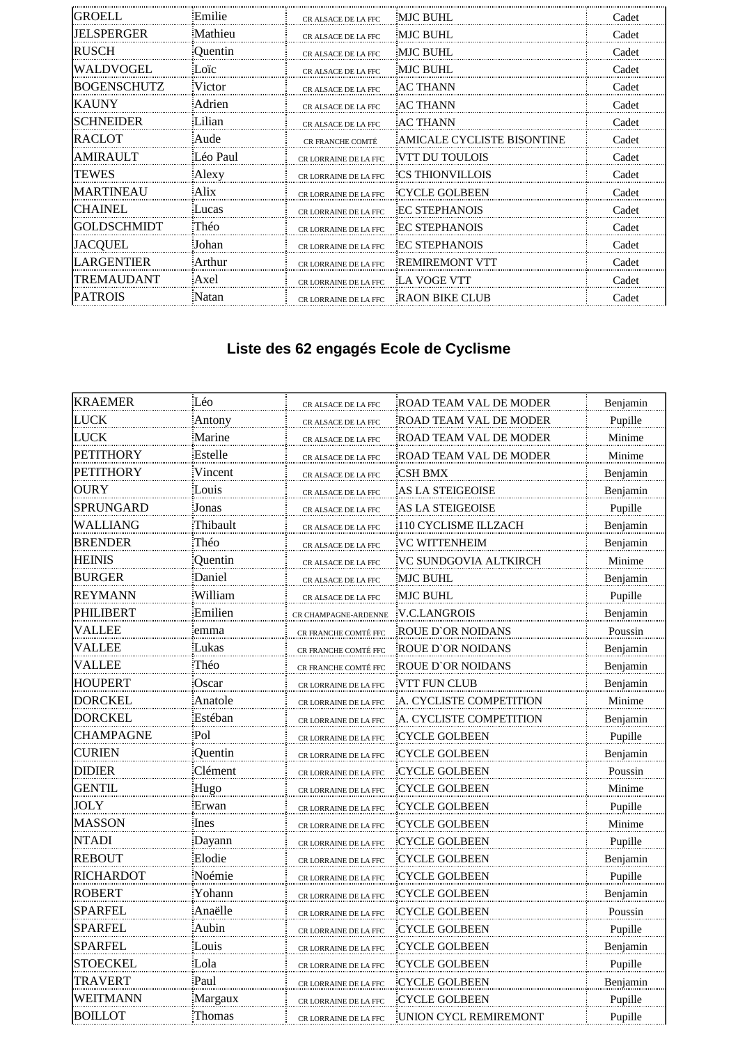| IGROELL        | Emilie   | CR ALSACE DE LA FFC          | <b>MJC BUHL</b>            | Cadet |
|----------------|----------|------------------------------|----------------------------|-------|
| JELSPERGER     | Mathieu  | CR ALSACE DE LA FFC          | <b>MJC BUHL</b>            | Cadet |
| RUSCH          | Quentin  | CR ALSACE DE LA FFC          | <b>MJC BUHL</b>            | Cadet |
| WALDVOGEL      | Loïc     | CR ALSACE DE LA FFC          | <b>MJC BUHL</b>            | Cadet |
| BOGENSCHUTZ    | Victor   | CR ALSACE DE LA FFC          | AC THANN                   | Cadet |
| IKAUNY         | Adrien   | CR ALSACE DE LA FFC          | <b>AC THANN</b>            | Cadet |
| ISCHNEIDER     | Lilian   | CR ALSACE DE LA FFC          | <b>AC THANN</b>            | Cadet |
| <b>RACLOT</b>  | Aude     | <b>CR FRANCHE COMTÉ</b>      | AMICALE CYCLISTE BISONTINE | Cadet |
| AMIR AUL T     | Léo Paul | <b>CR LORRAINE DE LA FFC</b> | VTT DU TOULOIS             | Cadet |
| <b>TEWES</b>   | Alexy    | CR LORRAINE DE LA FFC        | <b>CS THIONVILLOIS</b>     | Cadet |
| MARTINEAU      | Alix     | <b>CR LORRAINE DE LA FFC</b> | <b>CYCLE GOLBEEN</b>       | Cadet |
| ICHAINEL       | Lucas    | CR LORRAINE DE LA FFC        | <b>EC STEPHANOIS</b>       | Cadet |
| IGOLDSCHMIDT   | Théo     | CR LORRAINE DE LA FFC        | <b>EC STEPHANOIS</b>       | Cadet |
| JACOUEL        | Johan    | CR LORRAINE DE LA FFC        | <b>EC STEPHANOIS</b>       | Cadet |
| LARGENTIER     | Arthur   | CR LORRAINE DE LA FFC        | <b>REMIREMONT VTT</b>      | Cadet |
| TREMAUDANT     | Axel     | CR LORRAINE DE LA FFC        | LA VOGE VTT                | Cadet |
| <b>PATROIS</b> | Natan    | CR LORRAINE DE LA FFC        | <b>RAON BIKE CLUB</b>      | Cadet |

# **Liste des 62 engagés Ecole de Cyclisme**

| <b>KRAEMER</b>   | Léo      | CR ALSACE DE LA FFC   | ROAD TEAM VAL DE MODER  | Benjamin |
|------------------|----------|-----------------------|-------------------------|----------|
| <b>LUCK</b>      | Antony   | CR ALSACE DE LA FFC   | ROAD TEAM VAL DE MODER  | Pupille  |
| <b>LUCK</b>      | Marine   | CR ALSACE DE LA FFC   | ROAD TEAM VAL DE MODER  | Minime   |
| <b>PETITHORY</b> | Estelle  | CR ALSACE DE LA FFC   | ROAD TEAM VAL DE MODER  | Minime   |
| <b>PETITHORY</b> | Vincent  | CR ALSACE DE LA FFC   | CSH BMX                 | Benjamin |
| <b>OURY</b>      | Louis    | CR ALSACE DE LA FFC   | AS LA STEIGEOISE        | Benjamin |
| SPRUNGARD        | Jonas    | CR ALSACE DE LA FFC   | AS LA STEIGEOISE        | Pupille  |
| WALLIANG         | Thibault | CR ALSACE DE LA FFC   | 110 CYCLISME ILLZACH    | Benjamin |
| <b>BRENDER</b>   | Théo     | CR ALSACE DE LA FFC   | VC WITTENHEIM           | Benjamin |
| <b>HEINIS</b>    | Quentin  | CR ALSACE DE LA FFC   | VC SUNDGOVIA ALTKIRCH   | Minime   |
| <b>BURGER</b>    | Daniel   | CR ALSACE DE LA FFC   | <b>MJC BUHL</b>         | Benjamin |
| REYMANN          | William  | CR ALSACE DE LA FFC   | MJC BUHL                | Pupille  |
| PHILIBERT        | Emilien  | CR CHAMPAGNE-ARDENNE  | V.C.LANGROIS            | Benjamin |
| VALLEE           | emma     | CR FRANCHE COMTÉ FFC  | ROUE D'OR NOIDANS       | Poussin  |
| VALLEE           | Lukas    | CR FRANCHE COMTÉ FFC  | ROUE D'OR NOIDANS       | Benjamin |
| VALLEE           | Théo     | CR FRANCHE COMTÉ FFC  | ROUE D'OR NOIDANS       | Benjamin |
| HOUPERT          | Oscar    | CR LORRAINE DE LA FFC | VTT FUN CLUB            | Benjamin |
| DORCKEL          | Anatole  | CR LORRAINE DE LA FFC | A. CYCLISTE COMPETITION | Minime   |
| <b>DORCKEL</b>   | Estéban  | CR LORRAINE DE LA FFC | A. CYCLISTE COMPETITION | Benjamin |
| <b>CHAMPAGNE</b> | Pol      | CR LORRAINE DE LA FFC | CYCLE GOLBEEN           | Pupille  |
| <b>CURIEN</b>    | Quentin  | CR LORRAINE DE LA FFC | <b>CYCLE GOLBEEN</b>    | Benjamin |
| <b>DIDIER</b>    | Clément  | CR LORRAINE DE LA FFC | CYCLE GOLBEEN           | Poussin  |
| <b>GENTIL</b>    | Hugo     | CR LORRAINE DE LA FFC | CYCLE GOLBEEN           | Minime   |
| JOLY             | Erwan    | CR LORRAINE DE LA FFC | <b>CYCLE GOLBEEN</b>    | Pupille  |
| <b>MASSON</b>    | Ines     | CR LORRAINE DE LA FFC | CYCLE GOLBEEN           | Minime   |
| NTADI            | Dayann   | CR LORRAINE DE LA FFC | CYCLE GOLBEEN           | Pupille  |
| REBOUT           | Elodie   | CR LORRAINE DE LA FFC | CYCLE GOLBEEN           | Benjamin |
| <b>RICHARDOT</b> | Noémie   | CR LORRAINE DE LA FFC | CYCLE GOLBEEN           | Pupille  |
| ROBERT           | Yohann   | CR LORRAINE DE LA FFC | CYCLE GOLBEEN           | Benjamin |
| SPARFEL          | Anaëlle  | CR LORRAINE DE LA FFC | CYCLE GOLBEEN           | Poussin  |
| SPARFEL          | Aubin    | CR LORRAINE DE LA FFC | CYCLE GOLBEEN           | Pupille  |
| SPARFEL          | Louis    | CR LORRAINE DE LA FFC | <b>CYCLE GOLBEEN</b>    | Benjamin |
| <b>STOECKEL</b>  | Lola     | CR LORRAINE DE LA FFC | CYCLE GOLBEEN           | Pupille  |
| <b>TRAVERT</b>   | Paul     | CR LORRAINE DE LA FFC | CYCLE GOLBEEN           | Benjamin |
| WEITMANN         | Margaux  | CR LORRAINE DE LA FFC | <b>CYCLE GOLBEEN</b>    | Pupille  |
| <b>BOILLOT</b>   | Thomas   | CR LORRAINE DE LA FFC | UNION CYCL REMIREMONT   | Pupille  |